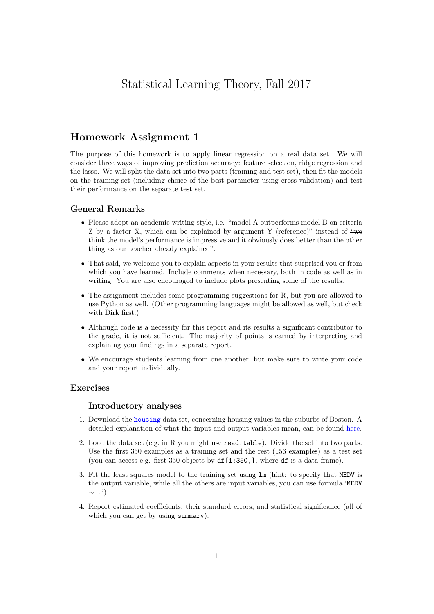# Statistical Learning Theory, Fall 2017

# Homework Assignment 1

The purpose of this homework is to apply linear regression on a real data set. We will consider three ways of improving prediction accuracy: feature selection, ridge regression and the lasso. We will split the data set into two parts (training and test set), then fit the models on the training set (including choice of the best parameter using cross-validation) and test their performance on the separate test set.

# General Remarks

- Please adopt an academic writing style, i.e. "model A outperforms model B on criteria Z by a factor X, which can be explained by argument Y (reference)" instead of  $\frac{\omega_{\text{w}}}{\omega_{\text{w}}}$ think the model's performance is impressive and it obviously does better than the other thing as our teacher already explained".
- That said, we welcome you to explain aspects in your results that surprised you or from which you have learned. Include comments when necessary, both in code as well as in writing. You are also encouraged to include plots presenting some of the results.
- The assignment includes some programming suggestions for R, but you are allowed to use Python as well. (Other programming languages might be allowed as well, but check with Dirk first.)
- Although code is a necessity for this report and its results a significant contributor to the grade, it is not sufficient. The majority of points is earned by interpreting and explaining your findings in a separate report.
- We encourage students learning from one another, but make sure to write your code and your report individually.

# Exercises

#### Introductory analyses

- 1. Download the [housing](http://www.timvanerven.nl/wp-content/uploads/teaching/statlearn2016/housing-p.data) data set, concerning housing values in the suburbs of Boston. A detailed explanation of what the input and output variables mean, can be found [here.](https://archive.ics.uci.edu/ml/machine-learning-databases/housing/housing.names)
- 2. Load the data set (e.g. in R you might use read.table). Divide the set into two parts. Use the first 350 examples as a training set and the rest (156 examples) as a test set (you can access e.g. first  $350$  objects by  $df[1:350,]$ , where  $df$  is a data frame).
- 3. Fit the least squares model to the training set using lm (hint: to specify that MEDV is the output variable, while all the others are input variables, you can use formula 'MEDV  $\sim$  .').
- 4. Report estimated coefficients, their standard errors, and statistical significance (all of which you can get by using summary).